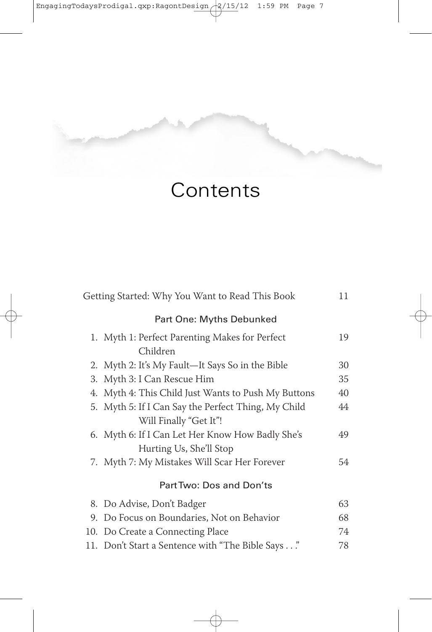## **Contents**

|    | Getting Started: Why You Want to Read This Book     | 11 |
|----|-----------------------------------------------------|----|
|    | Part One: Myths Debunked                            |    |
|    | 1. Myth 1: Perfect Parenting Makes for Perfect      | 19 |
|    | Children                                            |    |
|    | 2. Myth 2: It's My Fault-It Says So in the Bible    | 30 |
| 3. | Myth 3: I Can Rescue Him                            | 35 |
| 4. | Myth 4: This Child Just Wants to Push My Buttons    | 40 |
|    | 5. Myth 5: If I Can Say the Perfect Thing, My Child | 44 |
|    | Will Finally "Get It"!                              |    |
|    | 6. Myth 6: If I Can Let Her Know How Badly She's    | 49 |
|    | Hurting Us, She'll Stop                             |    |
|    | 7. Myth 7: My Mistakes Will Scar Her Forever        | 54 |
|    | Part Two: Dos and Don'ts                            |    |
|    | 8. Do Advise, Don't Badger                          | 63 |
|    | 9. Do Focus on Boundaries, Not on Behavior          | 68 |
|    | 10. Do Create a Connecting Place                    | 74 |
|    | 11. Don't Start a Sentence with "The Bible Says"    | 78 |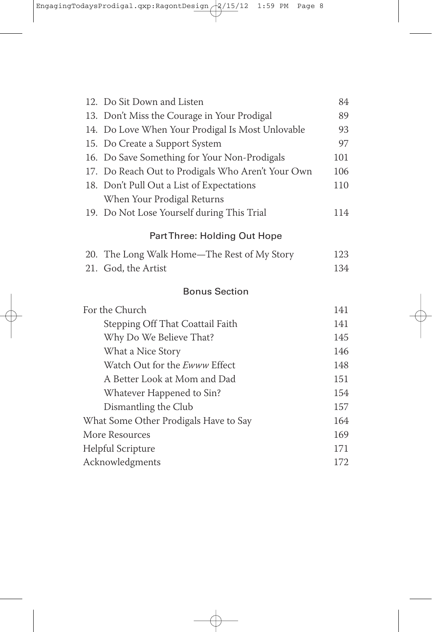|                                       | 12. Do Sit Down and Listen                        | 84  |
|---------------------------------------|---------------------------------------------------|-----|
|                                       | 13. Don't Miss the Courage in Your Prodigal       | 89  |
|                                       | 14. Do Love When Your Prodigal Is Most Unlovable  | 93  |
|                                       | 15. Do Create a Support System                    | 97  |
|                                       | 16. Do Save Something for Your Non-Prodigals      | 101 |
|                                       | 17. Do Reach Out to Prodigals Who Aren't Your Own | 106 |
|                                       | 18. Don't Pull Out a List of Expectations         | 110 |
|                                       | When Your Prodigal Returns                        |     |
|                                       | 19. Do Not Lose Yourself during This Trial        | 114 |
|                                       | Part Three: Holding Out Hope                      |     |
|                                       | 20. The Long Walk Home—The Rest of My Story       | 123 |
|                                       | 21. God, the Artist                               | 134 |
|                                       | <b>Bonus Section</b>                              |     |
| For the Church                        |                                                   | 141 |
|                                       | Stepping Off That Coattail Faith                  | 141 |
|                                       | Why Do We Believe That?                           | 145 |
|                                       | What a Nice Story                                 | 146 |
|                                       | Watch Out for the Ewww Effect                     | 148 |
|                                       | A Better Look at Mom and Dad                      | 151 |
|                                       | Whatever Happened to Sin?                         | 154 |
|                                       | Dismantling the Club                              | 157 |
| What Some Other Prodigals Have to Say |                                                   | 164 |
|                                       | More Resources                                    |     |
| Helpful Scripture                     |                                                   | 171 |
| Acknowledgments                       |                                                   | 172 |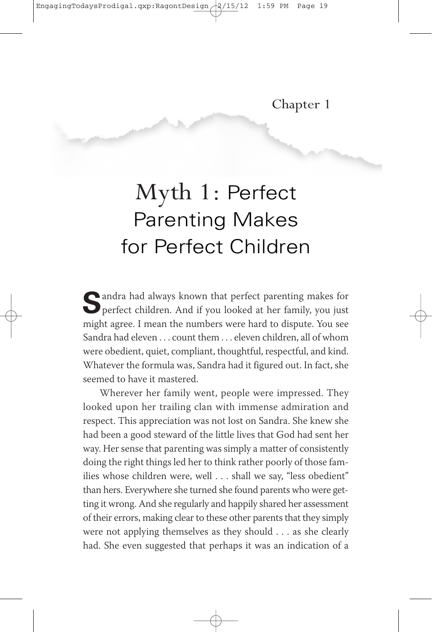Chapter 1

# Myth 1: Perfect Parenting Makes for Perfect Children

Sandra had always known that perfect parenting makes for perfect children. And if you looked at her family, you just might agree. I mean the numbers were hard to dispute. You see Sandra had eleven . . . count them . . . eleven children, all of whom were obedient, quiet, compliant, thoughtful, respectful, and kind. Whatever the formula was, Sandra had it figured out. In fact, she seemed to have it mastered.

Wherever her family went, people were impressed. They looked upon her trailing clan with immense admiration and respect. This appreciation was not lost on Sandra. She knew she had been a good steward of the little lives that God had sent her way. Her sense that parenting was simply a matter of consistently doing the right things led her to think rather poorly of those families whose children were, well . . . shall we say, "less obedient" than hers. Everywhere she turned she found parents who were getting it wrong. And she regularly and happily shared her assessment of their errors, making clear to these other parents that they simply were not applying themselves as they should . . . as she clearly had. She even suggested that perhaps it was an indication of a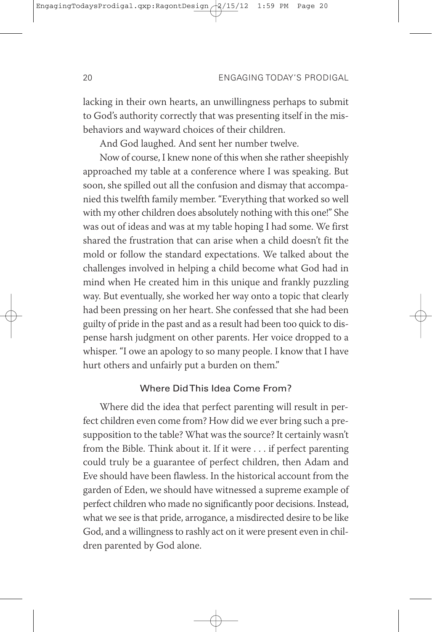lacking in their own hearts, an unwillingness perhaps to submit to God's authority correctly that was presenting itself in the misbehaviors and wayward choices of their children.

And God laughed. And sent her number twelve.

Now of course, I knew none of this when she rather sheepishly approached my table at a conference where I was speaking. But soon, she spilled out all the confusion and dismay that accompanied this twelfth family member. "Everything that worked so well with my other children does absolutely nothing with this one!" She was out of ideas and was at my table hoping I had some. We first shared the frustration that can arise when a child doesn't fit the mold or follow the standard expectations. We talked about the challenges involved in helping a child become what God had in mind when He created him in this unique and frankly puzzling way. But eventually, she worked her way onto a topic that clearly had been pressing on her heart. She confessed that she had been guilty of pride in the past and as a result had been too quick to dispense harsh judgment on other parents. Her voice dropped to a whisper. "I owe an apology to so many people. I know that I have hurt others and unfairly put a burden on them."

#### Where DidThis Idea Come From?

Where did the idea that perfect parenting will result in perfect children even come from? How did we ever bring such a presupposition to the table? What was the source? It certainly wasn't from the Bible. Think about it. If it were . . . if perfect parenting could truly be a guarantee of perfect children, then Adam and Eve should have been flawless. In the historical account from the garden of Eden, we should have witnessed a supreme example of perfect children who made no significantly poor decisions. Instead, what we see is that pride, arrogance, a misdirected desire to be like God, and a willingness to rashly act on it were present even in children parented by God alone.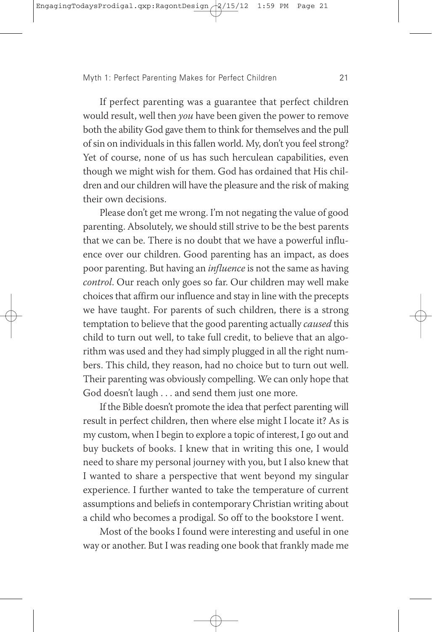If perfect parenting was a guarantee that perfect children would result, well then you have been given the power to remove both the ability God gave them to think for themselves and the pull of sin on individuals in this fallen world. My, don't you feel strong? Yet of course, none of us has such herculean capabilities, even though we might wish for them. God has ordained that His children and our children will have the pleasure and the risk of making their own decisions.

Please don't get me wrong. I'm not negating the value of good parenting. Absolutely, we should still strive to be the best parents that we can be. There is no doubt that we have a powerful influence over our children. Good parenting has an impact, as does poor parenting. But having an *influence* is not the same as having control. Our reach only goes so far. Our children may well make choices that affirm our influence and stay in line with the precepts we have taught. For parents of such children, there is a strong temptation to believe that the good parenting actually caused this child to turn out well, to take full credit, to believe that an algorithm was used and they had simply plugged in all the right numbers. This child, they reason, had no choice but to turn out well. Their parenting was obviously compelling. We can only hope that God doesn't laugh . . . and send them just one more.

If the Bible doesn't promote the idea that perfect parenting will result in perfect children, then where else might I locate it? As is my custom, when I begin to explore a topic of interest, I go out and buy buckets of books. I knew that in writing this one, I would need to share my personal journey with you, but I also knew that I wanted to share a perspective that went beyond my singular experience. I further wanted to take the temperature of current assumptions and beliefs in contemporary Christian writing about a child who becomes a prodigal. So off to the bookstore I went.

Most of the books I found were interesting and useful in one way or another. But I was reading one book that frankly made me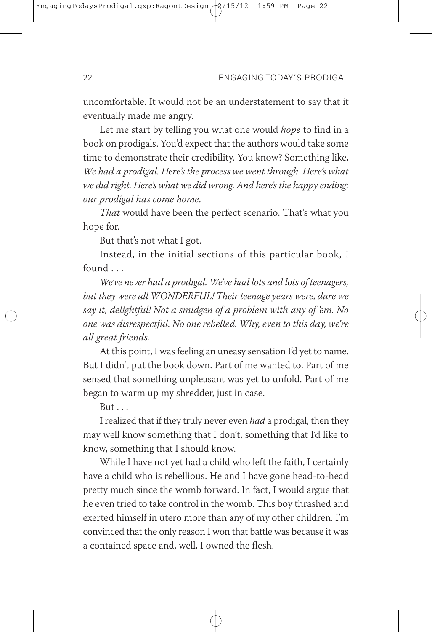uncomfortable. It would not be an understatement to say that it eventually made me angry.

Let me start by telling you what one would hope to find in a book on prodigals. You'd expect that the authors would take some time to demonstrate their credibility. You know? Something like, We had a prodigal. Here's the process we went through. Here's what we did right. Here's what we did wrong. And here's the happy ending: our prodigal has come home.

That would have been the perfect scenario. That's what you hope for.

But that's not what I got.

Instead, in the initial sections of this particular book, I found . . .

We've never had a prodigal. We've had lots and lots of teenagers, but they were all WONDERFUL! Their teenage years were, dare we say it, delightful! Not a smidgen of a problem with any of 'em. No one was disrespectful. No one rebelled. Why, even to this day, we're all great friends.

At this point, I was feeling an uneasy sensation I'd yet to name. But I didn't put the book down. Part of me wanted to. Part of me sensed that something unpleasant was yet to unfold. Part of me began to warm up my shredder, just in case.

But . . . .

I realized that if they truly never even had a prodigal, then they may well know something that I don't, something that I'd like to know, something that I should know.

While I have not yet had a child who left the faith, I certainly have a child who is rebellious. He and I have gone head-to-head pretty much since the womb forward. In fact, I would argue that he even tried to take control in the womb. This boy thrashed and exerted himself in utero more than any of my other children. I'm convinced that the only reason I won that battle was because it was a contained space and, well, I owned the flesh.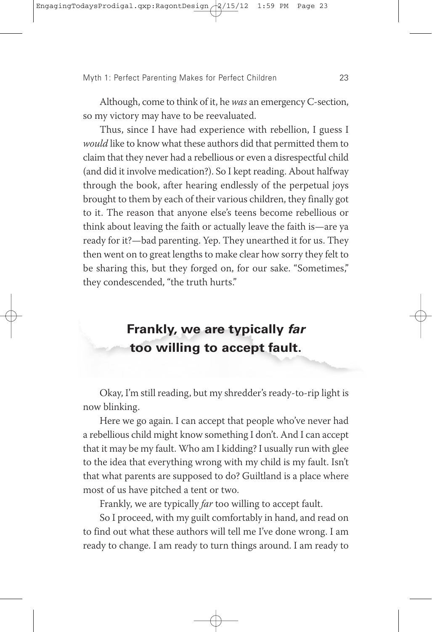Although, come to think of it, he was an emergency C-section, so my victory may have to be reevaluated.

Thus, since I have had experience with rebellion, I guess I would like to know what these authors did that permitted them to claim that they never had a rebellious or even a disrespectful child (and did it involve medication?). So I kept reading. About halfway through the book, after hearing endlessly of the perpetual joys brought to them by each of their various children, they finally got to it. The reason that anyone else's teens become rebellious or think about leaving the faith or actually leave the faith is—are ya ready for it?—bad parenting. Yep. They unearthed it for us. They then went on to great lengths to make clear how sorry they felt to be sharing this, but they forged on, for our sake. "Sometimes," they condescended, "the truth hurts."

### **Frankly, we are typically** *far* **too willing to accept fault.**

Okay, I'm still reading, but my shredder's ready-to-rip light is now blinking.

Here we go again. I can accept that people who've never had a rebellious child might know something I don't. And I can accept that it may be my fault. Who am I kidding? I usually run with glee to the idea that everything wrong with my child is my fault. Isn't that what parents are supposed to do? Guiltland is a place where most of us have pitched a tent or two.

Frankly, we are typically far too willing to accept fault.

So I proceed, with my guilt comfortably in hand, and read on to find out what these authors will tell me I've done wrong. I am ready to change. I am ready to turn things around. I am ready to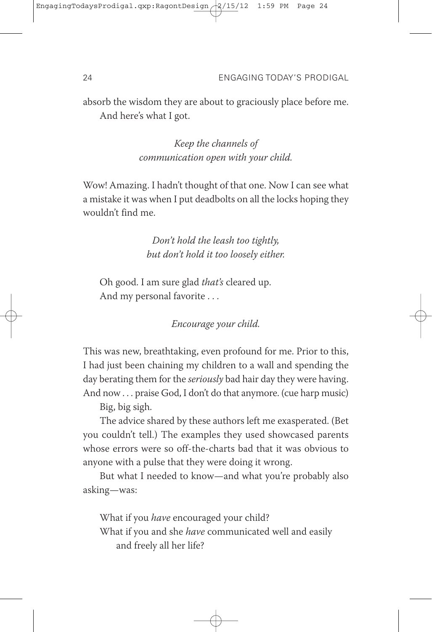absorb the wisdom they are about to graciously place before me. And here's what I got.

> Keep the channels of communication open with your child.

Wow! Amazing. I hadn't thought of that one. Now I can see what a mistake it was when I put deadbolts on all the locks hoping they wouldn't find me.

> Don't hold the leash too tightly, but don't hold it too loosely either.

Oh good. I am sure glad that's cleared up. And my personal favorite . . .

Encourage your child.

This was new, breathtaking, even profound for me. Prior to this, I had just been chaining my children to a wall and spending the day berating them for the *seriously* bad hair day they were having. And now . . . praise God, I don't do that anymore. (cue harp music)

Big, big sigh.

The advice shared by these authors left me exasperated. (Bet you couldn't tell.) The examples they used showcased parents whose errors were so off-the-charts bad that it was obvious to anyone with a pulse that they were doing it wrong.

But what I needed to know—and what you're probably also asking—was:

What if you *have* encouraged your child? What if you and she have communicated well and easily and freely all her life?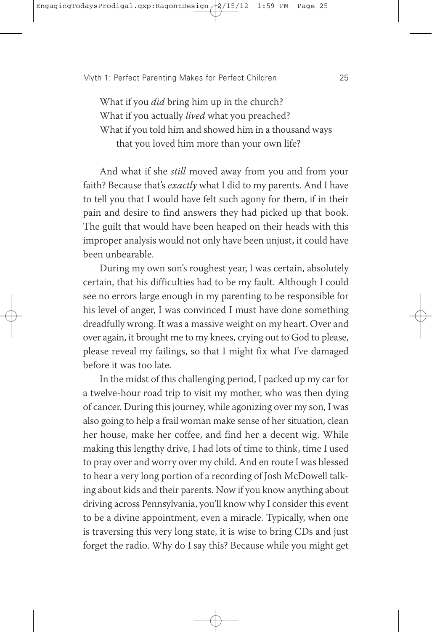What if you *did* bring him up in the church? What if you actually *lived* what you preached? What if you told him and showed him in a thousand ways that you loved him more than your own life?

And what if she still moved away from you and from your faith? Because that's exactly what I did to my parents. And I have to tell you that I would have felt such agony for them, if in their pain and desire to find answers they had picked up that book. The guilt that would have been heaped on their heads with this improper analysis would not only have been unjust, it could have been unbearable.

During my own son's roughest year, I was certain, absolutely certain, that his difficulties had to be my fault. Although I could see no errors large enough in my parenting to be responsible for his level of anger, I was convinced I must have done something dreadfully wrong. It was a massive weight on my heart. Over and over again, it brought me to my knees, crying out to God to please, please reveal my failings, so that I might fix what I've damaged before it was too late.

In the midst of this challenging period, I packed up my car for a twelve-hour road trip to visit my mother, who was then dying of cancer. During this journey, while agonizing over my son, I was also going to help a frail woman make sense of her situation, clean her house, make her coffee, and find her a decent wig. While making this lengthy drive, I had lots of time to think, time I used to pray over and worry over my child. And en route I was blessed to hear a very long portion of a recording of Josh McDowell talking about kids and their parents. Now if you know anything about driving across Pennsylvania, you'll know why I consider this event to be a divine appointment, even a miracle. Typically, when one is traversing this very long state, it is wise to bring CDs and just forget the radio. Why do I say this? Because while you might get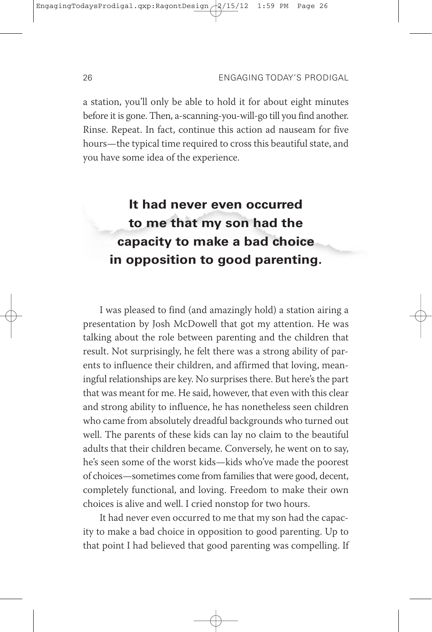a station, you'll only be able to hold it for about eight minutes before it is gone. Then, a-scanning-you-will-go till you find another. Rinse. Repeat. In fact, continue this action ad nauseam for five hours—the typical time required to cross this beautiful state, and you have some idea of the experience.

## **It had never even occurred to me that my son had the capacity to make a bad choice in opposition to good parenting.**

I was pleased to find (and amazingly hold) a station airing a presentation by Josh McDowell that got my attention. He was talking about the role between parenting and the children that result. Not surprisingly, he felt there was a strong ability of parents to influence their children, and affirmed that loving, meaningful relationships are key. No surprises there. But here's the part that was meant for me. He said, however, that even with this clear and strong ability to influence, he has nonetheless seen children who came from absolutely dreadful backgrounds who turned out well. The parents of these kids can lay no claim to the beautiful adults that their children became. Conversely, he went on to say, he's seen some of the worst kids—kids who've made the poorest of choices—sometimes come from families that were good, decent, completely functional, and loving. Freedom to make their own choices is alive and well. I cried nonstop for two hours.

It had never even occurred to me that my son had the capacity to make a bad choice in opposition to good parenting. Up to that point I had believed that good parenting was compelling. If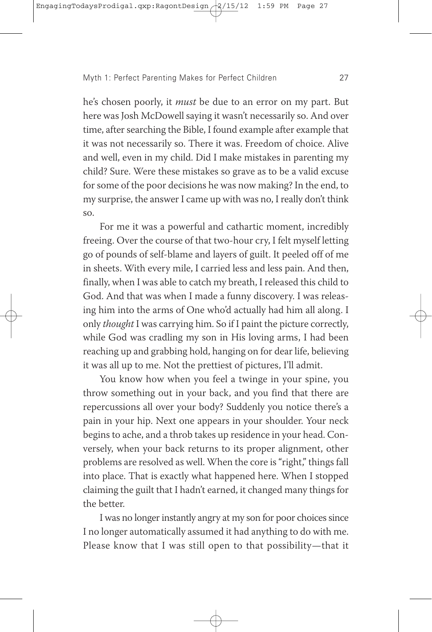he's chosen poorly, it must be due to an error on my part. But here was Josh McDowell saying it wasn't necessarily so. And over time, after searching the Bible, I found example after example that it was not necessarily so. There it was. Freedom of choice. Alive and well, even in my child. Did I make mistakes in parenting my child? Sure. Were these mistakes so grave as to be a valid excuse for some of the poor decisions he was now making? In the end, to my surprise, the answer I came up with was no, I really don't think so.

For me it was a powerful and cathartic moment, incredibly freeing. Over the course of that two-hour cry, I felt myself letting go of pounds of self-blame and layers of guilt. It peeled off of me in sheets. With every mile, I carried less and less pain. And then, finally, when I was able to catch my breath, I released this child to God. And that was when I made a funny discovery. I was releasing him into the arms of One who'd actually had him all along. I only thought I was carrying him. So if I paint the picture correctly, while God was cradling my son in His loving arms, I had been reaching up and grabbing hold, hanging on for dear life, believing it was all up to me. Not the prettiest of pictures, I'll admit.

You know how when you feel a twinge in your spine, you throw something out in your back, and you find that there are repercussions all over your body? Suddenly you notice there's a pain in your hip. Next one appears in your shoulder. Your neck begins to ache, and a throb takes up residence in your head. Conversely, when your back returns to its proper alignment, other problems are resolved as well. When the core is "right," things fall into place. That is exactly what happened here. When I stopped claiming the guilt that I hadn't earned, it changed many things for the better.

I was no longer instantly angry at my son for poor choices since I no longer automatically assumed it had anything to do with me. Please know that I was still open to that possibility—that it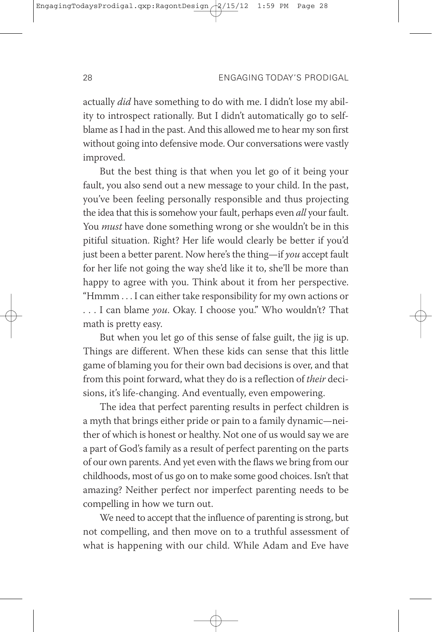actually *did* have something to do with me. I didn't lose my ability to introspect rationally. But I didn't automatically go to selfblame asI had in the past. And this allowed me to hear my son first without going into defensive mode. Our conversations were vastly improved.

But the best thing is that when you let go of it being your fault, you also send out a new message to your child. In the past, you've been feeling personally responsible and thus projecting the idea that this is somehow your fault, perhaps even all your fault. You *must* have done something wrong or she wouldn't be in this pitiful situation. Right? Her life would clearly be better if you'd just been a better parent. Now here's the thing—if you accept fault for her life not going the way she'd like it to, she'll be more than happy to agree with you. Think about it from her perspective. "Hmmm . . . I can either take responsibility for my own actions or . . . I can blame you. Okay. I choose you." Who wouldn't? That math is pretty easy.

But when you let go of this sense of false guilt, the jig is up. Things are different. When these kids can sense that this little game of blaming you for their own bad decisions is over, and that from this point forward, what they do is a reflection of their decisions, it's life-changing. And eventually, even empowering.

The idea that perfect parenting results in perfect children is a myth that brings either pride or pain to a family dynamic—neither of which is honest or healthy. Not one of us would say we are a part of God's family as a result of perfect parenting on the parts of our own parents. And yet even with the flaws we bring from our childhoods, most of us go on to make some good choices. Isn't that amazing? Neither perfect nor imperfect parenting needs to be compelling in how we turn out.

We need to accept that the influence of parenting is strong, but not compelling, and then move on to a truthful assessment of what is happening with our child. While Adam and Eve have